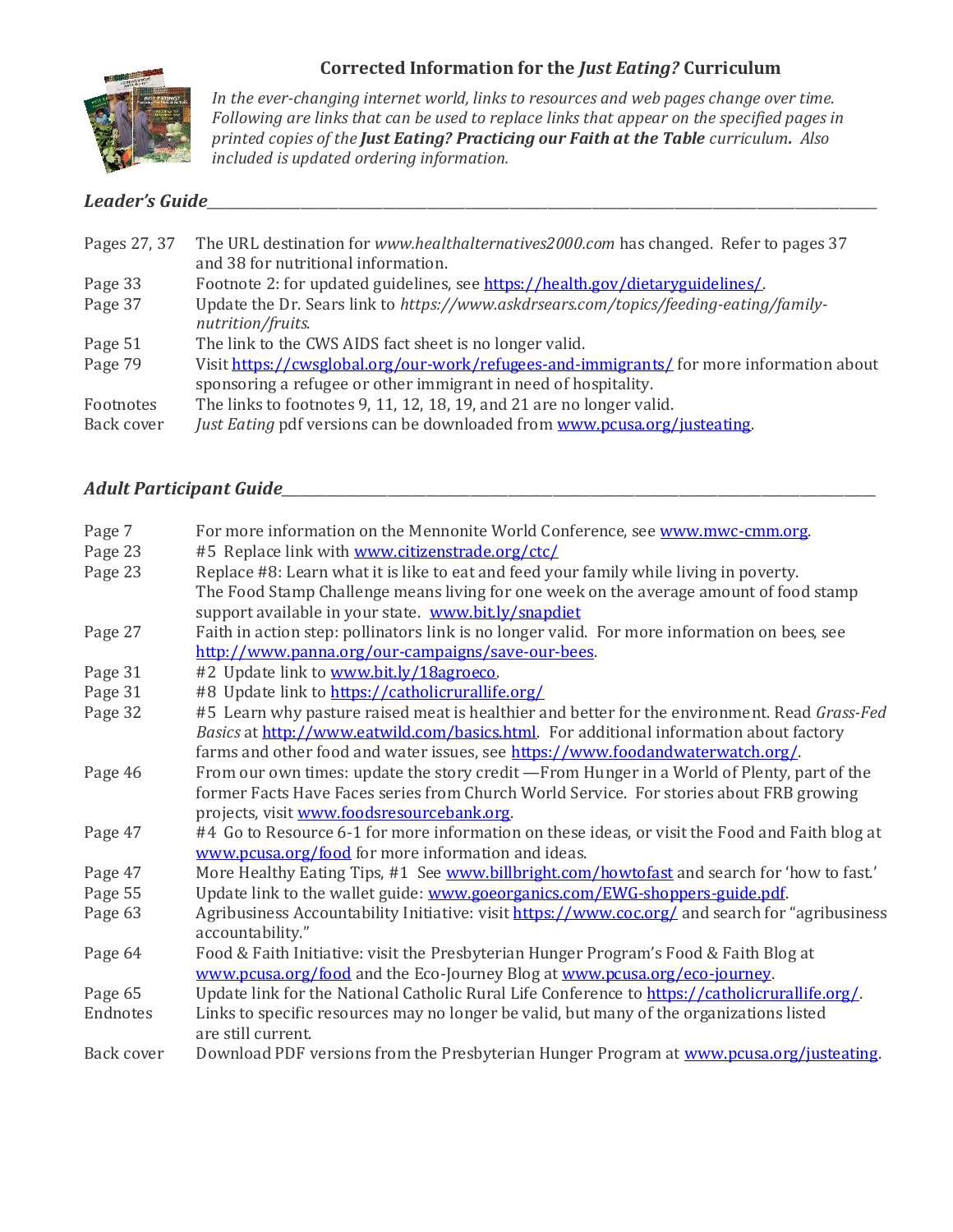

## **Corrected Information for the** *Just Eating?* **Curriculum**

*In the ever-changing internet world, links to resources and web pages change over time. Following are links that can be used to replace links that appear on the specified pages in printed copies of the Just Eating? Practicing our Faith at the Table curriculum. Also included is updated ordering information.*

# *Leader's Guide\_\_\_\_\_\_\_\_\_\_\_\_\_\_\_\_\_\_\_\_\_\_\_\_\_\_\_\_\_\_\_\_\_\_\_\_\_\_\_\_\_\_\_\_\_\_\_\_\_\_\_\_\_\_\_\_\_\_\_\_\_\_\_\_\_\_\_\_\_\_\_\_\_\_\_\_\_\_\_\_\_\_\_\_\_\_\_\_\_\_\_\_\_\_\_\_\_\_\_\_\_\_\_\_\_\_*

| Pages 27, 37 | The URL destination for <i>www.healthalternatives2000.com</i> has changed. Refer to pages 37               |
|--------------|------------------------------------------------------------------------------------------------------------|
|              | and 38 for nutritional information.                                                                        |
| Page 33      | Footnote 2: for updated guidelines, see https://health.gov/dietaryguidelines/.                             |
| Page 37      | Update the Dr. Sears link to https://www.askdrsears.com/topics/feeding-eating/family-<br>nutrition/fruits. |
| Page 51      | The link to the CWS AIDS fact sheet is no longer valid.                                                    |
| Page 79      | Visit https://cwsglobal.org/our-work/refugees-and-immigrants/ for more information about                   |
|              | sponsoring a refugee or other immigrant in need of hospitality.                                            |
| Footnotes    | The links to footnotes 9, 11, 12, 18, 19, and 21 are no longer valid.                                      |
| Back cover   | Just Eating pdf versions can be downloaded from www.pcusa.org/justeating.                                  |

## *Adult Participant Guide\_\_\_\_\_\_\_\_\_\_\_\_\_\_\_\_\_\_\_\_\_\_\_\_\_\_\_\_\_\_\_\_\_\_\_\_\_\_\_\_\_\_\_\_\_\_\_\_\_\_\_\_\_\_\_\_\_\_\_\_\_\_\_\_\_\_\_\_\_\_\_\_\_\_\_\_\_\_\_\_\_\_\_\_\_\_\_\_\_\_\_\_\_\_*

| Page 7     | For more information on the Mennonite World Conference, see www.mwc-cmm.org.                     |
|------------|--------------------------------------------------------------------------------------------------|
| Page 23    | #5 Replace link with www.citizenstrade.org/ctc/                                                  |
| Page 23    | Replace #8: Learn what it is like to eat and feed your family while living in poverty.           |
|            | The Food Stamp Challenge means living for one week on the average amount of food stamp           |
|            | support available in your state. www.bit.ly/snapdiet                                             |
| Page 27    | Faith in action step: pollinators link is no longer valid. For more information on bees, see     |
|            | http://www.panna.org/our-campaigns/save-our-bees.                                                |
| Page 31    | #2 Update link to www.bit.ly/18agroeco.                                                          |
| Page 31    | #8 Update link to https://catholicrurallife.org/                                                 |
| Page 32    | #5 Learn why pasture raised meat is healthier and better for the environment. Read Grass-Fed     |
|            | Basics at http://www.eatwild.com/basics.html. For additional information about factory           |
|            | farms and other food and water issues, see https://www.foodandwaterwatch.org/.                   |
| Page 46    | From our own times: update the story credit —From Hunger in a World of Plenty, part of the       |
|            | former Facts Have Faces series from Church World Service. For stories about FRB growing          |
|            | projects, visit www.foodsresourcebank.org.                                                       |
| Page 47    | #4 Go to Resource 6-1 for more information on these ideas, or visit the Food and Faith blog at   |
|            | www.pcusa.org/food for more information and ideas.                                               |
| Page 47    | More Healthy Eating Tips, #1 See www.billbright.com/howtofast and search for 'how to fast.'      |
| Page 55    | Update link to the wallet guide: www.goeorganics.com/EWG-shoppers-guide.pdf.                     |
| Page 63    | Agribusiness Accountability Initiative: visit https://www.coc.org/ and search for "agribusiness" |
|            | accountability."                                                                                 |
| Page 64    | Food & Faith Initiative: visit the Presbyterian Hunger Program's Food & Faith Blog at            |
|            | www.pcusa.org/food and the Eco-Journey Blog at www.pcusa.org/eco-journey.                        |
| Page 65    | Update link for the National Catholic Rural Life Conference to https://catholicrurallife.org/.   |
| Endnotes   | Links to specific resources may no longer be valid, but many of the organizations listed         |
|            | are still current.                                                                               |
| Back cover | Download PDF versions from the Presbyterian Hunger Program at www.pcusa.org/justeating.          |